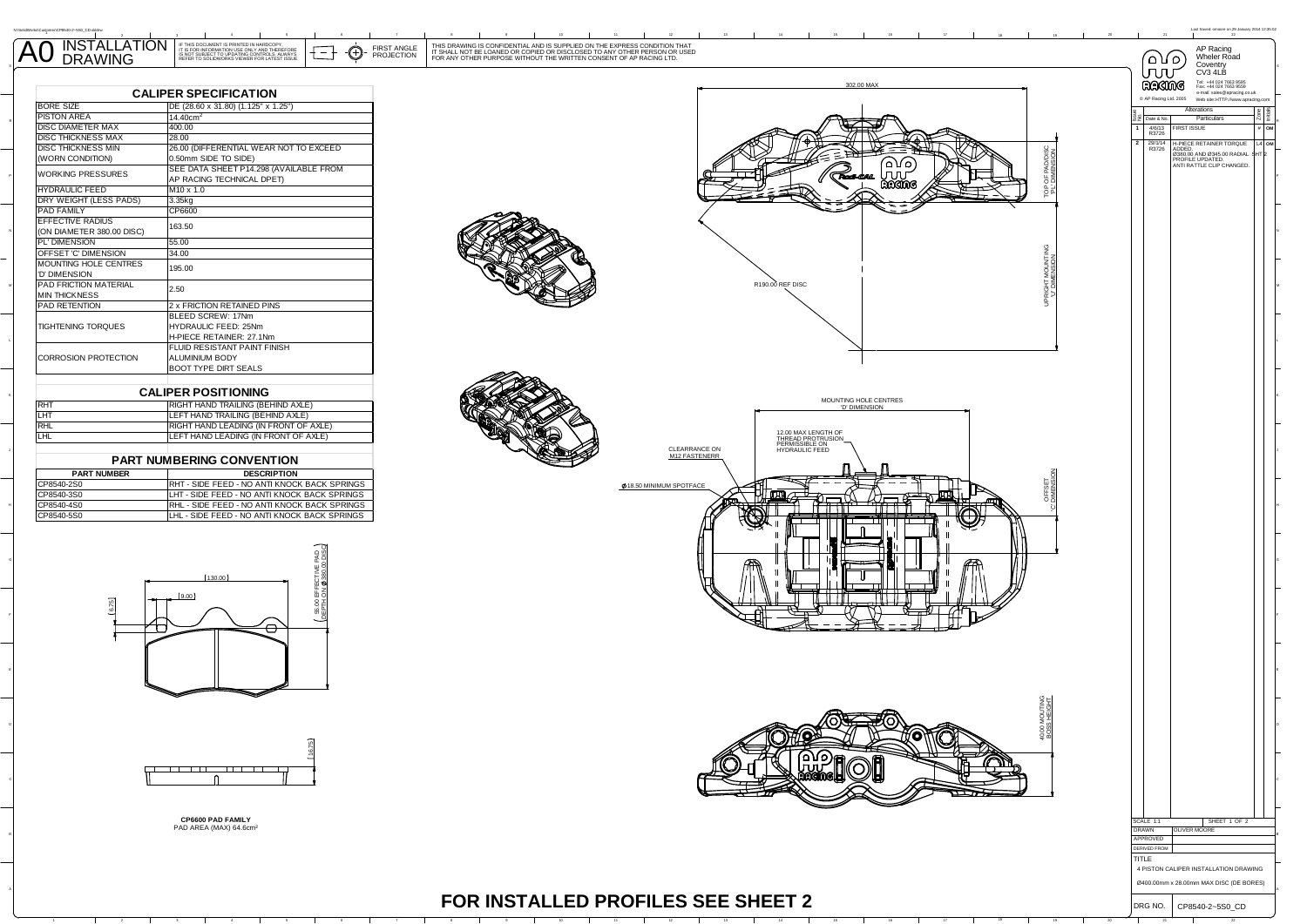| <b>INSTALLATION</b><br>$\overline{A0}$<br>$\pm$ + $\bigcup$ - projection<br>TO LIPDATING CONTROLS ALWAYS<br><b>DRAWING</b> | CONFIDENTIAL AND IS SUPPLIED ON THE EXPRESS CONDITION THAT<br><b>HIS DRAWIN</b><br>FIRST ANGL.<br>LOANED OR COPIED OR DISCLOSED TO ANY OTHER PERSON OR USED<br>IT SHALL NOT BE<br>FOR ANY OTHER PURPOSE WITHOUT THE WRITTEN CONSENT OF AP RACING LTD. |      |  |
|----------------------------------------------------------------------------------------------------------------------------|-------------------------------------------------------------------------------------------------------------------------------------------------------------------------------------------------------------------------------------------------------|------|--|
|                                                                                                                            |                                                                                                                                                                                                                                                       | Inni |  |

| <b>BORE SIZE</b>          | DE (28.60 x 31.80) (1.125" x 1.25")    |  |
|---------------------------|----------------------------------------|--|
| <b>PISTON AREA</b>        | 14.40cm <sup>2</sup>                   |  |
| <b>DISC DIAMETER MAX</b>  | 400.00                                 |  |
| DISC THICKNESS MAX        | 28.00                                  |  |
| <b>DISC THICKNESS MIN</b> | 26.00 (DIFFERENTIAL WEAR NOT TO EXCEED |  |
| (WORN CONDITION)          | 0.50mm SIDE TO SIDE)                   |  |
| <b>WORKING PRESSURES</b>  | SEE DATA SHEET P14.298 (AVAILABLE FROM |  |
|                           | AP RACING TECHNICAL DPET)              |  |
| <b>HYDRAULIC FEED</b>     | $M10 \times 1.0$                       |  |
| DRY WEIGHT (LESS PADS)    | 3.35kg                                 |  |
| <b>PAD FAMILY</b>         | CP6600                                 |  |
| <b>EFFECTIVE RADIUS</b>   | 163.50                                 |  |
| (ON DIAMETER 380.00 DISC) |                                        |  |
| PL' DIMENSION             | 55.00                                  |  |
| OFFSET 'C' DIMENSION      | 34.00                                  |  |
| MOUNTING HOLE CENTRES     | 195.00                                 |  |
| 'D' DIMENSION             |                                        |  |
| PAD FRICTION MATERIAL     | 2.50                                   |  |
| <b>MIN THICKNESS</b>      |                                        |  |
| PAD RETENTION             | 2 x FRICTION RETAINED PINS             |  |
|                           | BLEED SCREW: 17Nm                      |  |
| <b>TIGHTENING TORQUES</b> | HYDRAULIC FEED: 25Nm                   |  |
|                           | H-PIECE RETAINER: 27.1Nm               |  |
|                           | <b>FLUID RESISTANT PAINT FINISH</b>    |  |
| CORROSION PROTECTION      | <b>ALUMINIUM BODY</b>                  |  |
|                           | <b>BOOT TYPE DIRT SEALS</b>            |  |

| <b>CALIPER POSITIONING</b> |  |  |  |  |
|----------------------------|--|--|--|--|
|                            |  |  |  |  |

L

N:\SolidWorks\Customer\CP8540-2~5S0\_CD.slddrw

| <b>RHT</b> | RIGHT HAND TRAILING (BEHIND AXLE)     |
|------------|---------------------------------------|
| LHT        | LEFT HAND TRAILING (BEHIND AXLE)      |
| <b>RHL</b> | RIGHT HAND LEADING (IN FRONT OF AXLE) |
| <b>LHL</b> | LEFT HAND LEADING (IN FRONT OF AXLE)  |
|            |                                       |

## **PART NUMBERING CONVENTION**

| <b>PART NUMBER</b> | <b>DESCRIPTION</b>                                   |
|--------------------|------------------------------------------------------|
| CP8540-2S0         | <b>IRHT - SIDE FEED - NO ANTI KNOCK BACK SPRINGS</b> |
| CP8540-3S0         | LHT - SIDE FEED - NO ANTI KNOCK BACK SPRINGS         |
| CP8540-4S0         | RHL - SIDE FEED - NO ANTI KNOCK BACK SPRINGS         |
| CP8540-5S0         | LHL - SIDE FEED - NO ANTI KNOCK BACK SPRINGS         |





**CP6600 PAD FAMILY** PAD AREA (MAX) 64.6cm²

 $\overline{a}$ 



Zone

L4SHT 2**OM**

DRG NO. CP8540-2~5S0\_CD

.......<br>4 PISTON CALIPER INSTALLATION DRAWING

Ø400.00mm x 28.00mm MAX DISC (DE BORES)

**TITLE** 

DERIVED FROM

APPROVED

Initials

**OM**

L

## **FOR INSTALLED PROFILES SEE SHEET 2**

<sup>4</sup> <sup>5</sup> <sup>6</sup> <sup>7</sup> <sup>8</sup> <sup>9</sup> <sup>10</sup> <sup>11</sup> <sup>12</sup> <sup>13</sup> <sup>14</sup> <sup>15</sup> <sup>16</sup> <sup>17</sup> <sup>18</sup> <sup>19</sup> <sup>20</sup> <sup>21</sup> <sup>22</sup>